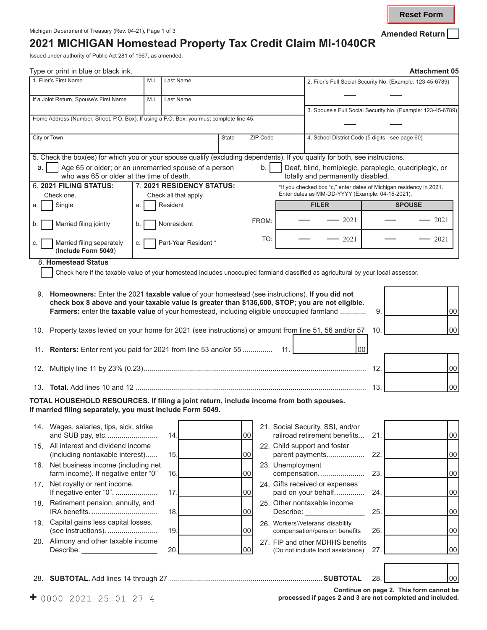**Reset Form**

## **2021 MICHIGAN Homestead Property Tax Credit Claim MI-1040CR**

Issued under authority of Public Act 281 of 1967, as amended.

| Type or print in blue or black ink.                                                                                                                 |                                                                 |      |                                                       |                                                                                                                         |          |           |                                                                                                                                   |     |                                         | <b>Attachment 05</b> |
|-----------------------------------------------------------------------------------------------------------------------------------------------------|-----------------------------------------------------------------|------|-------------------------------------------------------|-------------------------------------------------------------------------------------------------------------------------|----------|-----------|-----------------------------------------------------------------------------------------------------------------------------------|-----|-----------------------------------------|----------------------|
| 1. Filer's First Name                                                                                                                               |                                                                 | M.I. | Last Name                                             |                                                                                                                         |          |           | 2. Filer's Full Social Security No. (Example: 123-45-6789)                                                                        |     |                                         |                      |
| If a Joint Return, Spouse's First Name                                                                                                              |                                                                 | M.I. | Last Name                                             |                                                                                                                         |          |           |                                                                                                                                   |     |                                         |                      |
|                                                                                                                                                     |                                                                 |      |                                                       |                                                                                                                         |          |           | 3. Spouse's Full Social Security No. (Example: 123-45-6789)                                                                       |     |                                         |                      |
| Home Address (Number, Street, P.O. Box). If using a P.O. Box, you must complete line 45.                                                            |                                                                 |      |                                                       |                                                                                                                         |          |           |                                                                                                                                   |     |                                         |                      |
| City or Town                                                                                                                                        |                                                                 |      |                                                       | State                                                                                                                   | ZIP Code |           | 4. School District Code (5 digits - see page 60)                                                                                  |     |                                         |                      |
| 5. Check the box(es) for which you or your spouse qualify (excluding dependents). If you qualify for both, see instructions.                        |                                                                 |      |                                                       |                                                                                                                         |          |           |                                                                                                                                   |     |                                         |                      |
| a.<br>who was 65 or older at the time of death.                                                                                                     |                                                                 |      | Age 65 or older; or an unremarried spouse of a person |                                                                                                                         | b.       |           | Deaf, blind, hemiplegic, paraplegic, quadriplegic, or<br>totally and permanently disabled.                                        |     |                                         |                      |
| 6. 2021 FILING STATUS:                                                                                                                              | 7. 2021 RESIDENCY STATUS:                                       |      |                                                       | *If you checked box "c," enter dates of Michigan residency in 2021.<br>Enter dates as MM-DD-YYYY (Example: 04-15-2021). |          |           |                                                                                                                                   |     |                                         |                      |
|                                                                                                                                                     | Check one.<br>Check all that apply.<br>Resident<br>Single<br>a. |      |                                                       |                                                                                                                         |          |           | <b>FILER</b>                                                                                                                      |     | <b>SPOUSE</b>                           |                      |
| a.                                                                                                                                                  |                                                                 |      |                                                       |                                                                                                                         |          |           |                                                                                                                                   |     |                                         |                      |
| Married filing jointly                                                                                                                              | b.                                                              |      | Nonresident                                           |                                                                                                                         | FROM:    |           | $-2021$                                                                                                                           |     |                                         | 2021                 |
| Married filing separately<br>(Include Form 5049)                                                                                                    | C.                                                              |      | Part-Year Resident *                                  |                                                                                                                         | TO:      |           | 2021                                                                                                                              |     |                                         | 2021                 |
| 8. Homestead Status                                                                                                                                 |                                                                 |      |                                                       |                                                                                                                         |          |           |                                                                                                                                   |     |                                         |                      |
|                                                                                                                                                     |                                                                 |      |                                                       |                                                                                                                         |          |           | Check here if the taxable value of your homestead includes unoccupied farmland classified as agricultural by your local assessor. |     |                                         |                      |
|                                                                                                                                                     |                                                                 |      |                                                       |                                                                                                                         |          |           |                                                                                                                                   |     |                                         |                      |
| 9. Homeowners: Enter the 2021 taxable value of your homestead (see instructions). If you did not                                                    |                                                                 |      |                                                       |                                                                                                                         |          |           |                                                                                                                                   |     |                                         |                      |
|                                                                                                                                                     |                                                                 |      |                                                       |                                                                                                                         |          |           | check box 8 above and your taxable value is greater than \$136,600, STOP; you are not eligible.                                   |     |                                         |                      |
|                                                                                                                                                     |                                                                 |      |                                                       |                                                                                                                         |          |           | Farmers: enter the taxable value of your homestead, including eligible unoccupied farmland                                        | 9.  |                                         | 00                   |
| 10. Property taxes levied on your home for 2021 (see instructions) or amount from line 51, 56 and/or 57                                             |                                                                 |      |                                                       |                                                                                                                         |          |           |                                                                                                                                   | 10. |                                         | 00                   |
| 11. Renters: Enter rent you paid for 2021 from line 53 and/or 55                                                                                    |                                                                 |      |                                                       |                                                                                                                         |          | 11.       |                                                                                                                                   | 00  |                                         |                      |
|                                                                                                                                                     |                                                                 |      |                                                       |                                                                                                                         |          |           |                                                                                                                                   | 12. |                                         | 00                   |
|                                                                                                                                                     |                                                                 |      |                                                       |                                                                                                                         |          |           |                                                                                                                                   | 13. |                                         | 00                   |
| TOTAL HOUSEHOLD RESOURCES. If filing a joint return, include income from both spouses.<br>If married filing separately, you must include Form 5049. |                                                                 |      |                                                       |                                                                                                                         |          |           |                                                                                                                                   |     |                                         |                      |
|                                                                                                                                                     |                                                                 |      |                                                       |                                                                                                                         |          |           | 21. Social Security, SSI, and/or                                                                                                  |     |                                         |                      |
| 14. Wages, salaries, tips, sick, strike                                                                                                             |                                                                 |      | 14.                                                   |                                                                                                                         | 00       |           | railroad retirement benefits                                                                                                      | 21. |                                         | 00                   |
| 15. All interest and dividend income                                                                                                                |                                                                 |      |                                                       |                                                                                                                         |          |           | 22. Child support and foster                                                                                                      |     |                                         |                      |
| (including nontaxable interest)                                                                                                                     |                                                                 |      | 15.                                                   |                                                                                                                         | 00       |           | parent payments                                                                                                                   | 22. |                                         | 00                   |
| 16. Net business income (including net                                                                                                              |                                                                 |      | 16.                                                   |                                                                                                                         | 00       |           | 23. Unemployment<br>compensation.                                                                                                 | 23. |                                         |                      |
| farm income). If negative enter "0"<br>17. Net royalty or rent income.                                                                              |                                                                 |      |                                                       |                                                                                                                         |          |           | 24. Gifts received or expenses                                                                                                    |     |                                         | 00                   |
| If negative enter "0".                                                                                                                              |                                                                 |      | 17.                                                   |                                                                                                                         | 00       |           | paid on your behalf                                                                                                               | 24. |                                         | 00                   |
| 18. Retirement pension, annuity, and                                                                                                                |                                                                 |      | 18.                                                   |                                                                                                                         | 00       | Describe: | 25. Other nontaxable income<br><u> 1980 - Johann Barbara, martxa a</u>                                                            | 25. |                                         | 00                   |
| Capital gains less capital losses,<br>19.<br>(see instructions).                                                                                    |                                                                 |      | 19.                                                   |                                                                                                                         | 00       |           | 26. Workers'/veterans' disability<br>compensation/pension benefits                                                                | 26. |                                         | 00                   |
| 20. Alimony and other taxable income                                                                                                                |                                                                 |      |                                                       |                                                                                                                         |          |           | 27. FIP and other MDHHS benefits                                                                                                  |     |                                         |                      |
| Describe: ______________________                                                                                                                    |                                                                 |      | 20                                                    |                                                                                                                         | 00       |           | (Do not include food assistance)                                                                                                  | 27. |                                         | $00\,$               |
|                                                                                                                                                     |                                                                 |      |                                                       |                                                                                                                         |          |           |                                                                                                                                   |     |                                         |                      |
|                                                                                                                                                     |                                                                 |      |                                                       |                                                                                                                         |          |           |                                                                                                                                   | 28. |                                         | 00                   |
| $+$ 0000 2021 25 01 27 4                                                                                                                            |                                                                 |      |                                                       |                                                                                                                         |          |           | processed if pages 2 and 3 are not completed and included.                                                                        |     | Continue on page 2. This form cannot be |                      |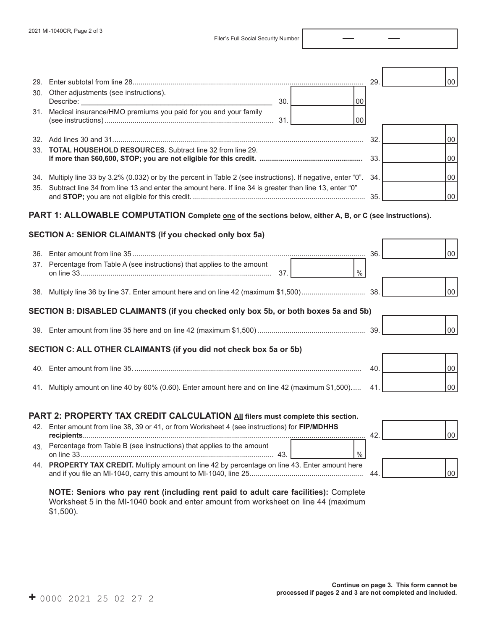Filer's Full Social Security Number

|                                                                                                                                                                                      |     |               | 29. | 00     |
|--------------------------------------------------------------------------------------------------------------------------------------------------------------------------------------|-----|---------------|-----|--------|
| 30. Other adjustments (see instructions).                                                                                                                                            | 30. | 00            |     |        |
| 31. Medical insurance/HMO premiums you paid for you and your family                                                                                                                  |     | 00            |     |        |
|                                                                                                                                                                                      |     |               | 32. | 00     |
| 33. TOTAL HOUSEHOLD RESOURCES. Subtract line 32 from line 29.                                                                                                                        |     |               |     | 00     |
| 34. Multiply line 33 by 3.2% (0.032) or by the percent in Table 2 (see instructions). If negative, enter "0". 34.                                                                    |     |               |     | 00     |
| 35. Subtract line 34 from line 13 and enter the amount here. If line 34 is greater than line 13, enter "0"                                                                           |     |               | 35. | 00     |
| PART 1: ALLOWABLE COMPUTATION Complete <u>one</u> of the sections below, either A, B, or C (see instructions).                                                                       |     |               |     |        |
|                                                                                                                                                                                      |     |               |     |        |
| SECTION A: SENIOR CLAIMANTS (if you checked only box 5a)                                                                                                                             |     |               |     |        |
|                                                                                                                                                                                      |     |               | 36. | $00\,$ |
| 37. Percentage from Table A (see instructions) that applies to the amount                                                                                                            | 37. | $\frac{0}{0}$ |     |        |
|                                                                                                                                                                                      |     |               |     | 00     |
| SECTION B: DISABLED CLAIMANTS (if you checked only box 5b, or both boxes 5a and 5b)                                                                                                  |     |               |     |        |
|                                                                                                                                                                                      |     |               |     | 00     |
| SECTION C: ALL OTHER CLAIMANTS (if you did not check box 5a or 5b)                                                                                                                   |     |               |     |        |
|                                                                                                                                                                                      |     |               | 40. | $00\,$ |
| 41. Multiply amount on line 40 by 60% (0.60). Enter amount here and on line 42 (maximum \$1,500)                                                                                     |     |               | 41  | 00     |
|                                                                                                                                                                                      |     |               |     |        |
| PART 2: PROPERTY TAX CREDIT CALCULATION All filers must complete this section.<br>12 Enter amount from line 38, 39 or 41 or from Worksheet 4 (see instructions) for <b>FIP/MDHHS</b> |     |               |     |        |

|    | 42. Enter amount from line 38, 39 or 41, or from Worksheet 4 (see instructions) for FIP/MDHHS   |    |        |
|----|-------------------------------------------------------------------------------------------------|----|--------|
|    |                                                                                                 | 42 | 00     |
| 43 | Percentage from Table B (see instructions) that applies to the amount<br>43                     |    |        |
|    | 44. PROPERTY TAX CREDIT. Multiply amount on line 42 by percentage on line 43. Enter amount here | 44 | $00\,$ |

**NOTE: Seniors who pay rent (including rent paid to adult care facilities):** Complete Worksheet 5 in the MI-1040 book and enter amount from worksheet on line 44 (maximum \$1,500).